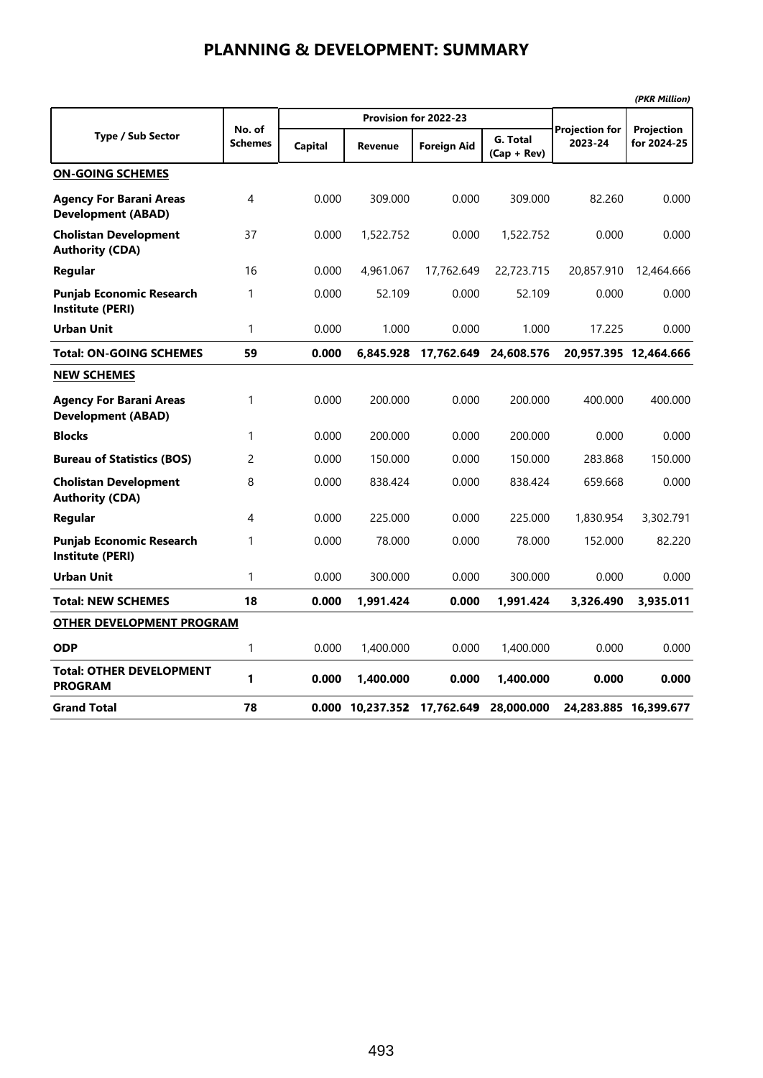|                                                             |                   |                |                             |                       |                           |                                  | (PKR Million)             |  |
|-------------------------------------------------------------|-------------------|----------------|-----------------------------|-----------------------|---------------------------|----------------------------------|---------------------------|--|
|                                                             |                   |                |                             | Provision for 2022-23 |                           |                                  |                           |  |
| <b>Type / Sub Sector</b>                                    | No. of<br>Schemes | <b>Capital</b> | <b>Revenue</b>              | <b>Foreign Aid</b>    | G. Total<br>$(Cap + Rev)$ | <b>Projection for</b><br>2023-24 | Projection<br>for 2024-25 |  |
| <b>ON-GOING SCHEMES</b>                                     |                   |                |                             |                       |                           |                                  |                           |  |
| <b>Agency For Barani Areas</b><br><b>Development (ABAD)</b> | 4                 | 0.000          | 309.000                     | 0.000                 | 309.000                   | 82.260                           | 0.000                     |  |
| <b>Cholistan Development</b><br><b>Authority (CDA)</b>      | 37                | 0.000          | 1,522.752                   | 0.000                 | 1,522.752                 | 0.000                            | 0.000                     |  |
| Regular                                                     | 16                | 0.000          | 4,961.067                   | 17,762.649            | 22,723.715                | 20,857.910                       | 12,464.666                |  |
| <b>Punjab Economic Research</b><br><b>Institute (PERI)</b>  | 1                 | 0.000          | 52.109                      | 0.000                 | 52.109                    | 0.000                            | 0.000                     |  |
| <b>Urban Unit</b>                                           | $\mathbf{1}$      | 0.000          | 1.000                       | 0.000                 | 1.000                     | 17.225                           | 0.000                     |  |
| <b>Total: ON-GOING SCHEMES</b>                              | 59                | 0.000          | 6.845.928                   | 17,762.649            | 24,608.576                |                                  | 20,957.395 12,464.666     |  |
| <b>NEW SCHEMES</b>                                          |                   |                |                             |                       |                           |                                  |                           |  |
| <b>Agency For Barani Areas</b><br><b>Development (ABAD)</b> | $\mathbf{1}$      | 0.000          | 200.000                     | 0.000                 | 200.000                   | 400.000                          | 400.000                   |  |
| <b>Blocks</b>                                               | 1                 | 0.000          | 200.000                     | 0.000                 | 200.000                   | 0.000                            | 0.000                     |  |
| <b>Bureau of Statistics (BOS)</b>                           | 2                 | 0.000          | 150.000                     | 0.000                 | 150.000                   | 283.868                          | 150.000                   |  |
| <b>Cholistan Development</b><br><b>Authority (CDA)</b>      | 8                 | 0.000          | 838.424                     | 0.000                 | 838.424                   | 659.668                          | 0.000                     |  |
| Regular                                                     | 4                 | 0.000          | 225.000                     | 0.000                 | 225.000                   | 1,830.954                        | 3,302.791                 |  |
| <b>Punjab Economic Research</b><br>Institute (PERI)         | 1                 | 0.000          | 78.000                      | 0.000                 | 78.000                    | 152.000                          | 82.220                    |  |
| <b>Urban Unit</b>                                           | $\mathbf{1}$      | 0.000          | 300.000                     | 0.000                 | 300.000                   | 0.000                            | 0.000                     |  |
| <b>Total: NEW SCHEMES</b>                                   | 18                | 0.000          | 1,991.424                   | 0.000                 | 1,991.424                 | 3,326.490                        | 3,935.011                 |  |
| <b>OTHER DEVELOPMENT PROGRAM</b>                            |                   |                |                             |                       |                           |                                  |                           |  |
| <b>ODP</b>                                                  | 1                 | 0.000          | 1,400.000                   | 0.000                 | 1,400.000                 | 0.000                            | 0.000                     |  |
| <b>Total: OTHER DEVELOPMENT</b><br><b>PROGRAM</b>           | 1                 | 0.000          | 1,400.000                   | 0.000                 | 1,400.000                 | 0.000                            | 0.000                     |  |
| <b>Grand Total</b>                                          | 78                |                | 0.000 10,237.352 17,762.649 |                       | 28,000.000                |                                  | 24,283.885 16,399.677     |  |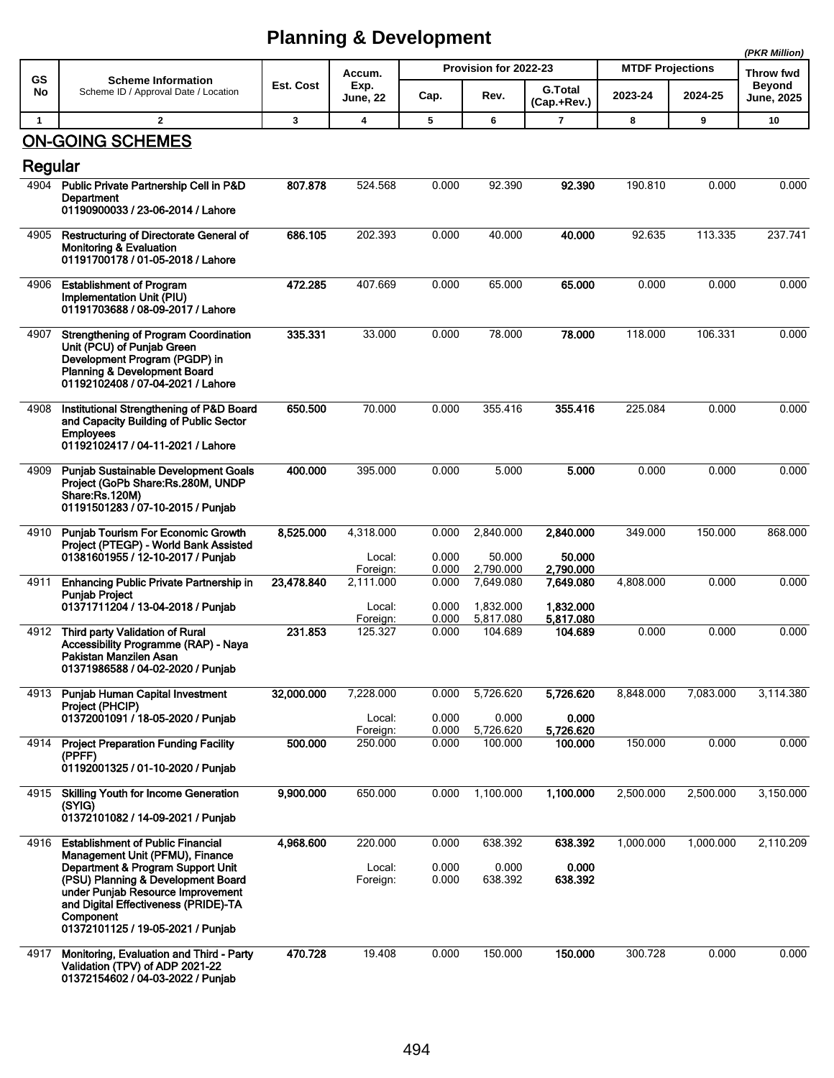|              |                                                                                                                                                                                                                                                                                       |            |                                 |                         |                                  |                                  |                         |           | (PKR Million)               |
|--------------|---------------------------------------------------------------------------------------------------------------------------------------------------------------------------------------------------------------------------------------------------------------------------------------|------------|---------------------------------|-------------------------|----------------------------------|----------------------------------|-------------------------|-----------|-----------------------------|
| <b>GS</b>    | <b>Scheme Information</b>                                                                                                                                                                                                                                                             |            | Accum.                          |                         | Provision for 2022-23            |                                  | <b>MTDF Projections</b> |           | Throw fwd                   |
| No           | Scheme ID / Approval Date / Location                                                                                                                                                                                                                                                  | Est. Cost  | Exp.<br>June, 22                | Cap.                    | Rev.                             | <b>G.Total</b><br>(Cap.+Rev.)    | 2023-24                 | 2024-25   | <b>Beyond</b><br>June, 2025 |
| $\mathbf{1}$ | $\overline{2}$                                                                                                                                                                                                                                                                        | 3          | 4                               | 5                       | 6                                | $\overline{7}$                   | 8                       | 9         | 10                          |
| Regular      | <b>ON-GOING SCHEMES</b>                                                                                                                                                                                                                                                               |            |                                 |                         |                                  |                                  |                         |           |                             |
| 4904         | Public Private Partnership Cell in P&D<br>Department<br>01190900033 / 23-06-2014 / Lahore                                                                                                                                                                                             | 807.878    | 524.568                         | 0.000                   | 92.390                           | 92.390                           | 190.810                 | 0.000     | 0.000                       |
| 4905         | Restructuring of Directorate General of<br><b>Monitoring &amp; Evaluation</b><br>01191700178 / 01-05-2018 / Lahore                                                                                                                                                                    | 686.105    | 202.393                         | 0.000                   | 40.000                           | 40.000                           | 92.635                  | 113.335   | 237.741                     |
| 4906         | <b>Establishment of Program</b><br>Implementation Unit (PIU)<br>01191703688 / 08-09-2017 / Lahore                                                                                                                                                                                     | 472.285    | 407.669                         | 0.000                   | 65.000                           | 65.000                           | 0.000                   | 0.000     | 0.000                       |
| 4907         | <b>Strengthening of Program Coordination</b><br>Unit (PCU) of Punjab Green<br>Development Program (PGDP) in<br>Planning & Development Board<br>01192102408 / 07-04-2021 / Lahore                                                                                                      | 335.331    | 33.000                          | 0.000                   | 78.000                           | 78.000                           | 118.000                 | 106.331   | 0.000                       |
| 4908         | Institutional Strengthening of P&D Board<br>and Capacity Building of Public Sector<br><b>Employees</b><br>01192102417 / 04-11-2021 / Lahore                                                                                                                                           | 650.500    | 70.000                          | 0.000                   | 355.416                          | 355.416                          | 225.084                 | 0.000     | 0.000                       |
| 4909         | Punjab Sustainable Development Goals<br>Project (GoPb Share:Rs.280M, UNDP<br>Share:Rs.120M)<br>01191501283 / 07-10-2015 / Punjab                                                                                                                                                      | 400.000    | 395.000                         | 0.000                   | 5.000                            | 5.000                            | 0.000                   | 0.000     | 0.000                       |
| 4910         | <b>Punjab Tourism For Economic Growth</b><br>Project (PTEGP) - World Bank Assisted<br>01381601955 / 12-10-2017 / Punjab                                                                                                                                                               | 8,525.000  | 4,318.000<br>Local:<br>Foreign: | 0.000<br>0.000<br>0.000 | 2,840.000<br>50.000<br>2,790.000 | 2,840.000<br>50.000<br>2,790.000 | 349.000                 | 150.000   | 868.000                     |
| 4911         | <b>Enhancing Public Private Partnership in</b><br><b>Punjab Project</b><br>01371711204 / 13-04-2018 / Punjab                                                                                                                                                                          | 23,478.840 | 2,111.000<br>Local:             | 0.000<br>0.000          | 7,649.080<br>1,832.000           | 7,649.080<br>1,832.000           | 4,808.000               | 0.000     | 0.000                       |
| 4912         | Third party Validation of Rural<br>Accessibility Programme (RAP) - Naya<br>Pakistan Manzilen Asan<br>01371986588 / 04-02-2020 / Punjab                                                                                                                                                | 231.853    | Foreign:<br>125.327             | 0.000<br>0.000          | 5,817.080<br>104.689             | 5,817.080<br>104.689             | 0.000                   | 0.000     | 0.000                       |
| 4913         | <b>Punjab Human Capital Investment</b><br>Project (PHCIP)<br>01372001091 / 18-05-2020 / Punjab                                                                                                                                                                                        | 32,000.000 | 7,228.000<br>Local:             | 0.000<br>0.000          | 5,726.620<br>0.000               | 5,726.620<br>0.000               | 8,848.000               | 7,083.000 | 3,114.380                   |
| 4914         | <b>Project Preparation Funding Facility</b><br>(PPFF)<br>01192001325 / 01-10-2020 / Punjab                                                                                                                                                                                            | 500.000    | Foreign:<br>250.000             | 0.000<br>0.000          | 5,726.620<br>100.000             | 5,726.620<br>100.000             | 150.000                 | 0.000     | 0.000                       |
| 4915         | <b>Skilling Youth for Income Generation</b><br>(SYIG)<br>01372101082 / 14-09-2021 / Punjab                                                                                                                                                                                            | 9,900.000  | 650.000                         | 0.000                   | 1,100.000                        | 1,100.000                        | 2,500.000               | 2,500.000 | 3,150.000                   |
| 4916         | <b>Establishment of Public Financial</b><br>Management Unit (PFMU), Finance<br>Department & Program Support Unit<br>(PSU) Planning & Development Board<br>under Punjab Resource Improvement<br>and Digital Effectiveness (PRIDE)-TA<br>Component<br>01372101125 / 19-05-2021 / Punjab | 4,968.600  | 220.000<br>Local:<br>Foreign:   | 0.000<br>0.000<br>0.000 | 638.392<br>0.000<br>638.392      | 638.392<br>0.000<br>638.392      | 1,000.000               | 1,000.000 | 2,110.209                   |
| 4917         | Monitoring, Evaluation and Third - Party<br>Validation (TPV) of ADP 2021-22<br>01372154602 / 04-03-2022 / Punjab                                                                                                                                                                      | 470.728    | 19.408                          | 0.000                   | 150.000                          | 150.000                          | 300.728                 | 0.000     | 0.000                       |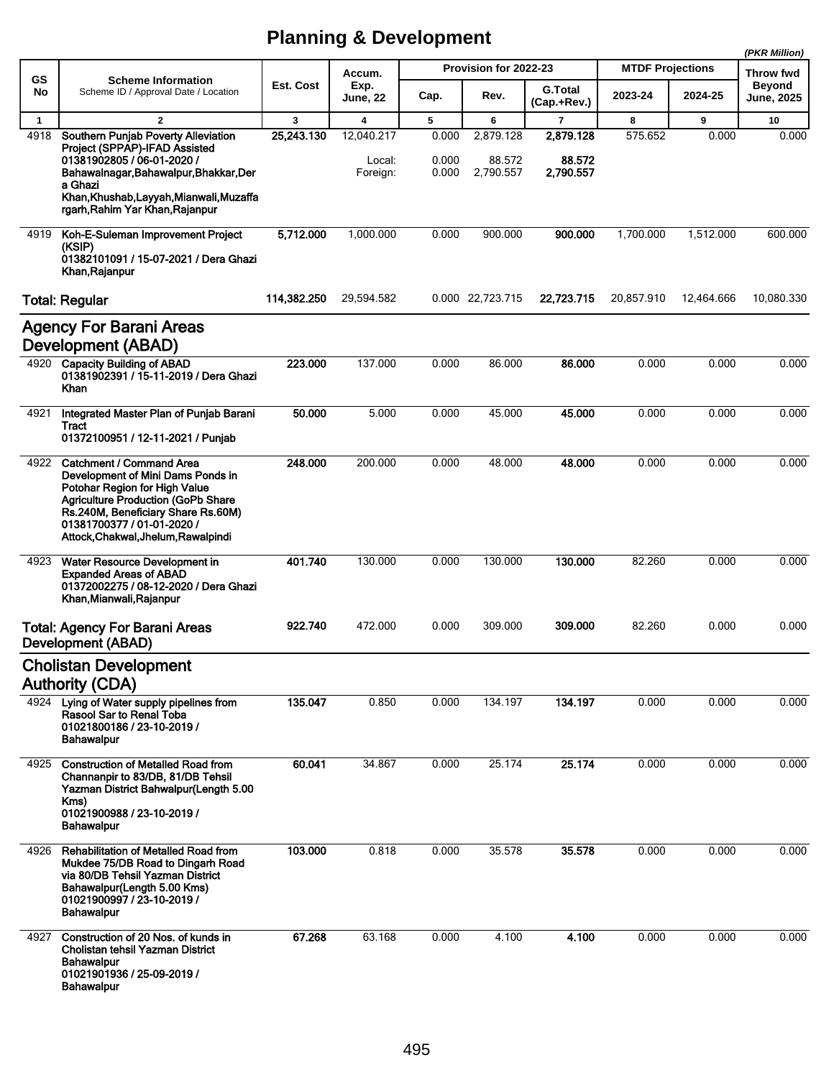|              |                                                                                                                                                                                                                                                               |             |                                  |                         |                                  |                                  |                         |            | (PKR Million)               |
|--------------|---------------------------------------------------------------------------------------------------------------------------------------------------------------------------------------------------------------------------------------------------------------|-------------|----------------------------------|-------------------------|----------------------------------|----------------------------------|-------------------------|------------|-----------------------------|
| GS           | <b>Scheme Information</b>                                                                                                                                                                                                                                     |             | Accum.                           |                         | Provision for 2022-23            |                                  | <b>MTDF Projections</b> |            | Throw fwd                   |
| No           | Scheme ID / Approval Date / Location                                                                                                                                                                                                                          | Est. Cost   | Exp.<br>June, 22                 | Cap.                    | Rev.                             | <b>G.Total</b><br>(Cap.+Rev.)    | 2023-24                 | 2024-25    | <b>Beyond</b><br>June, 2025 |
| $\mathbf{1}$ | $\overline{2}$                                                                                                                                                                                                                                                | 3           | 4                                | 5                       | 6                                | $\overline{7}$                   | 8                       | 9          | 10                          |
| 4918         | Southern Punjab Poverty Alleviation<br>Project (SPPAP)-IFAD Assisted<br>01381902805 / 06-01-2020 /<br>Bahawalnagar, Bahawalpur, Bhakkar, Der<br>a Ghazi<br>Khan, Khushab, Layyah, Mianwali, Muzaffa<br>rgarh, Rahim Yar Khan, Rajanpur                        | 25,243.130  | 12,040.217<br>Local:<br>Foreign: | 0.000<br>0.000<br>0.000 | 2,879.128<br>88.572<br>2,790.557 | 2,879.128<br>88.572<br>2,790.557 | 575.652                 | 0.000      | 0.000                       |
| 4919         | Koh-E-Suleman Improvement Project                                                                                                                                                                                                                             | 5,712.000   | 1,000.000                        | 0.000                   | 900.000                          | 900.000                          | 1,700.000               | 1,512.000  | 600.000                     |
|              | (KSIP)<br>01382101091 / 15-07-2021 / Dera Ghazi<br>Khan Rajanpur                                                                                                                                                                                              |             |                                  |                         |                                  |                                  |                         |            |                             |
|              | <b>Total: Regular</b>                                                                                                                                                                                                                                         | 114,382.250 | 29,594.582                       |                         | 0.000 22,723.715                 | 22,723.715                       | 20,857.910              | 12,464.666 | 10,080.330                  |
|              | <b>Agency For Barani Areas</b><br><b>Development (ABAD)</b>                                                                                                                                                                                                   |             |                                  |                         |                                  |                                  |                         |            |                             |
| 4920         | <b>Capacity Building of ABAD</b><br>01381902391 / 15-11-2019 / Dera Ghazi<br>Khan                                                                                                                                                                             | 223.000     | 137.000                          | 0.000                   | 86.000                           | 86.000                           | 0.000                   | 0.000      | 0.000                       |
| 4921         | Integrated Master Plan of Punjab Barani<br>Tract                                                                                                                                                                                                              | 50.000      | 5.000                            | 0.000                   | 45.000                           | 45.000                           | 0.000                   | 0.000      | 0.000                       |
|              | 01372100951 / 12-11-2021 / Punjab                                                                                                                                                                                                                             |             |                                  |                         |                                  |                                  |                         |            |                             |
| 4922         | <b>Catchment / Command Area</b><br>Development of Mini Dams Ponds in<br>Potohar Region for High Value<br><b>Agriculture Production (GoPb Share</b><br>Rs.240M, Beneficiary Share Rs.60M)<br>01381700377 / 01-01-2020 /<br>Attock, Chakwal, Jhelum, Rawalpindi | 248.000     | 200.000                          | 0.000                   | 48.000                           | 48.000                           | 0.000                   | 0.000      | 0.000                       |
| 4923         | Water Resource Development in<br><b>Expanded Areas of ABAD</b><br>01372002275 / 08-12-2020 / Dera Ghazi<br>Khan, Mianwali, Rajanpur                                                                                                                           | 401.740     | 130.000                          | 0.000                   | 130.000                          | 130.000                          | 82.260                  | 0.000      | 0.000                       |
|              | <b>Total: Agency For Barani Areas</b><br>Development (ABAD)                                                                                                                                                                                                   | 922.740     | 472.000                          | 0.000                   | 309.000                          | 309.000                          | 82.260                  | 0.000      | 0.000                       |
|              | <b>Cholistan Development</b>                                                                                                                                                                                                                                  |             |                                  |                         |                                  |                                  |                         |            |                             |
|              | <b>Authority (CDA)</b>                                                                                                                                                                                                                                        |             |                                  |                         |                                  |                                  |                         |            |                             |
|              | 4924 Lying of Water supply pipelines from<br>Rasool Sar to Renal Toba<br>01021800186 / 23-10-2019 /<br><b>Bahawalpur</b>                                                                                                                                      | 135.047     | 0.850                            | 0.000                   | 134.197                          | 134.197                          | 0.000                   | 0.000      | 0.000                       |
| 4925         | <b>Construction of Metalled Road from</b><br>Channanpir to 83/DB, 81/DB Tehsil<br>Yazman District Bahwalpur (Length 5.00<br>Kms)<br>01021900988 / 23-10-2019 /<br>Bahawalpur                                                                                  | 60.041      | 34.867                           | 0.000                   | 25.174                           | 25.174                           | 0.000                   | 0.000      | 0.000                       |
| 4926         | <b>Rehabilitation of Metalled Road from</b><br>Mukdee 75/DB Road to Dingarh Road<br>via 80/DB Tehsil Yazman District<br>Bahawalpur(Length 5.00 Kms)<br>01021900997 / 23-10-2019 /<br><b>Bahawalpur</b>                                                        | 103.000     | 0.818                            | 0.000                   | 35.578                           | 35.578                           | 0.000                   | 0.000      | 0.000                       |
| 4927         | Construction of 20 Nos. of kunds in<br>Cholistan tehsil Yazman District<br><b>Bahawalpur</b><br>01021901936 / 25-09-2019 /<br>Bahawalpur                                                                                                                      | 67.268      | 63.168                           | 0.000                   | 4.100                            | 4.100                            | 0.000                   | 0.000      | 0.000                       |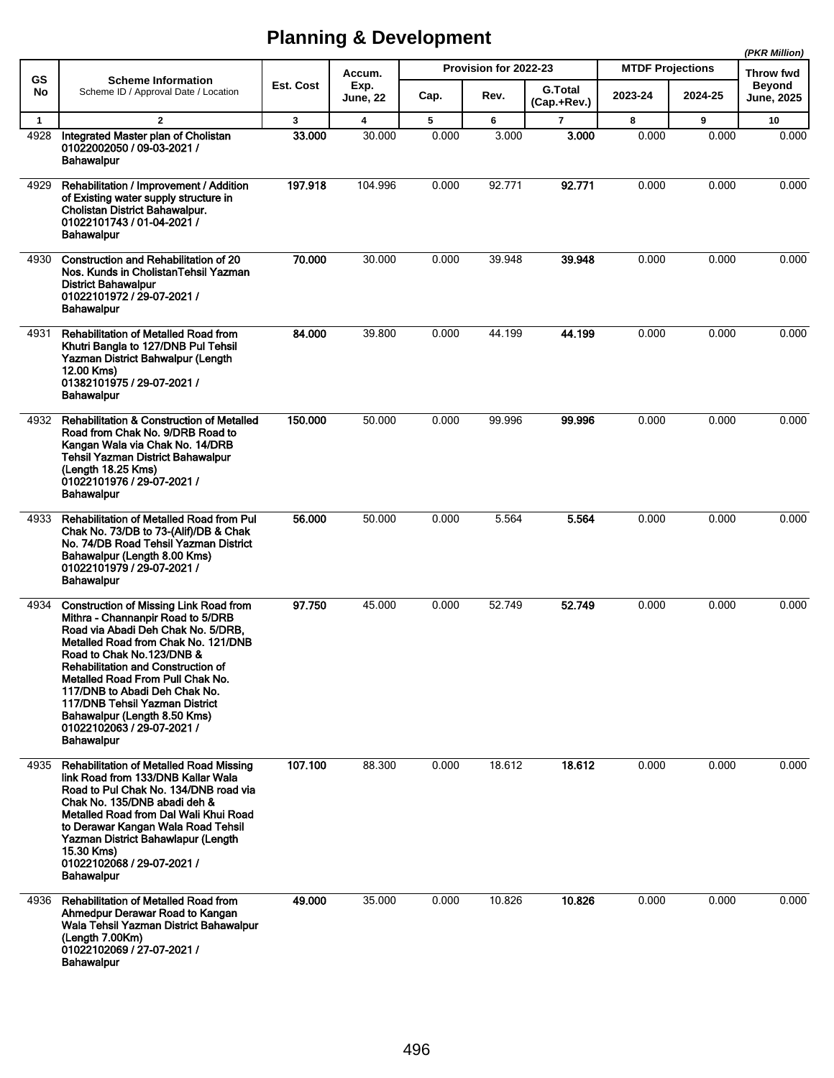|              |                                                                                                                                                                                                                                                                                                                                                                                                                                  |                  |                         |       |                       |                               |                         |         | (PKR Million)                      |
|--------------|----------------------------------------------------------------------------------------------------------------------------------------------------------------------------------------------------------------------------------------------------------------------------------------------------------------------------------------------------------------------------------------------------------------------------------|------------------|-------------------------|-------|-----------------------|-------------------------------|-------------------------|---------|------------------------------------|
| <b>GS</b>    | <b>Scheme Information</b>                                                                                                                                                                                                                                                                                                                                                                                                        |                  | Accum.                  |       | Provision for 2022-23 |                               | <b>MTDF Projections</b> |         | Throw fwd                          |
| No           | Scheme ID / Approval Date / Location                                                                                                                                                                                                                                                                                                                                                                                             | <b>Est. Cost</b> | Exp.<br><b>June, 22</b> | Cap.  | Rev.                  | <b>G.Total</b><br>(Cap.+Rev.) | 2023-24                 | 2024-25 | <b>Beyond</b><br><b>June, 2025</b> |
| $\mathbf{1}$ | $\mathbf{2}$                                                                                                                                                                                                                                                                                                                                                                                                                     | $\mathbf{3}$     | $\overline{\mathbf{4}}$ | 5     | 6                     | $\overline{7}$                | 8                       | 9       | 10                                 |
| 4928         | Integrated Master plan of Cholistan<br>01022002050 / 09-03-2021 /<br><b>Bahawalpur</b>                                                                                                                                                                                                                                                                                                                                           | 33.000           | 30.000                  | 0.000 | 3.000                 | 3.000                         | 0.000                   | 0.000   | 0.000                              |
| 4929         | Rehabilitation / Improvement / Addition<br>of Existing water supply structure in<br>Cholistan District Bahawalpur.<br>01022101743 / 01-04-2021 /<br><b>Bahawalpur</b>                                                                                                                                                                                                                                                            | 197.918          | 104.996                 | 0.000 | 92.771                | 92.771                        | 0.000                   | 0.000   | 0.000                              |
| 4930         | Construction and Rehabilitation of 20<br>Nos. Kunds in CholistanTehsil Yazman<br><b>District Bahawalpur</b><br>01022101972 / 29-07-2021 /<br><b>Bahawalpur</b>                                                                                                                                                                                                                                                                   | 70.000           | 30.000                  | 0.000 | 39.948                | 39.948                        | 0.000                   | 0.000   | 0.000                              |
| 4931         | <b>Rehabilitation of Metalled Road from</b><br>Khutri Bangla to 127/DNB Pul Tehsil<br>Yazman District Bahwalpur (Length<br>12.00 Kms)<br>01382101975 / 29-07-2021 /<br><b>Bahawalpur</b>                                                                                                                                                                                                                                         | 84.000           | 39.800                  | 0.000 | 44.199                | 44.199                        | 0.000                   | 0.000   | 0.000                              |
| 4932         | <b>Rehabilitation &amp; Construction of Metalled</b><br>Road from Chak No. 9/DRB Road to<br>Kangan Wala via Chak No. 14/DRB<br><b>Tehsil Yazman District Bahawalpur</b><br>(Length 18.25 Kms)<br>01022101976 / 29-07-2021 /<br><b>Bahawalpur</b>                                                                                                                                                                                 | 150.000          | 50.000                  | 0.000 | 99.996                | 99.996                        | 0.000                   | 0.000   | 0.000                              |
| 4933         | <b>Rehabilitation of Metalled Road from Pul</b><br>Chak No. 73/DB to 73-(Alif)/DB & Chak<br>No. 74/DB Road Tehsil Yazman District<br>Bahawalpur (Length 8.00 Kms)<br>01022101979 / 29-07-2021 /<br><b>Bahawalpur</b>                                                                                                                                                                                                             | 56.000           | 50.000                  | 0.000 | 5.564                 | 5.564                         | 0.000                   | 0.000   | 0.000                              |
| 4934         | <b>Construction of Missing Link Road from</b><br>Mithra - Channanpir Road to 5/DRB<br>Road via Abadi Deh Chak No. 5/DRB.<br>Metalled Road from Chak No. 121/DNB<br>Road to Chak No.123/DNB &<br><b>Rehabilitation and Construction of</b><br>Metalled Road From Pull Chak No.<br>117/DNB to Abadi Deh Chak No.<br>117/DNB Tehsil Yazman District<br>Bahawalpur (Length 8.50 Kms)<br>01022102063/29-07-2021/<br><b>Bahawalpur</b> | 97.750           | 45.000                  | 0.000 | 52.749                | 52.749                        | 0.000                   | 0.000   | 0.000                              |
| 4935         | <b>Rehabilitation of Metalled Road Missing</b><br>link Road from 133/DNB Kallar Wala<br>Road to Pul Chak No. 134/DNB road via<br>Chak No. 135/DNB abadi deh &<br>Metalled Road from Dal Wali Khui Road<br>to Derawar Kangan Wala Road Tehsil<br>Yazman District Bahawlapur (Length<br>15.30 Kms)<br>01022102068 / 29-07-2021 /<br><b>Bahawalpur</b>                                                                              | 107.100          | 88.300                  | 0.000 | 18.612                | 18.612                        | 0.000                   | 0.000   | 0.000                              |
| 4936         | <b>Rehabilitation of Metalled Road from</b><br>Ahmedpur Derawar Road to Kangan<br>Wala Tehsil Yazman District Bahawalpur<br>(Length 7.00Km)<br>01022102069 / 27-07-2021 /<br><b>Bahawalpur</b>                                                                                                                                                                                                                                   | 49.000           | 35.000                  | 0.000 | 10.826                | 10.826                        | 0.000                   | 0.000   | 0.000                              |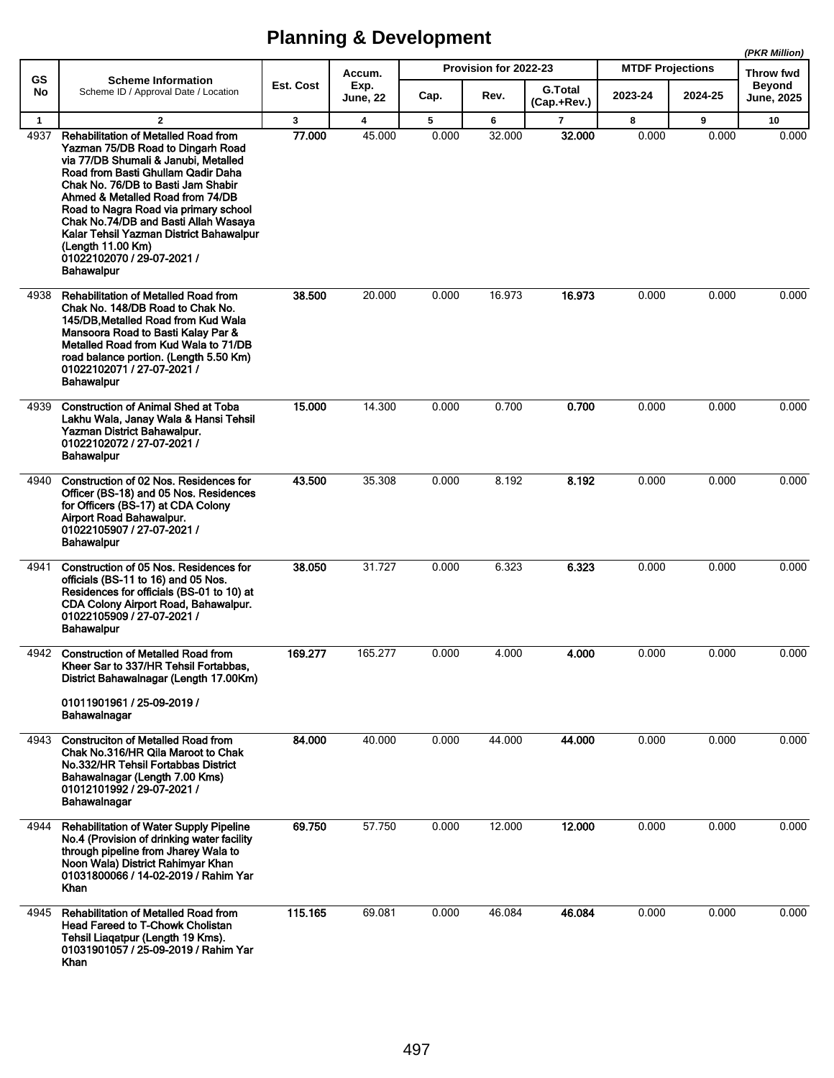**(PKR Million)**

|                 |                                                                                                                                                                                                                                                                                                                                                                                                                                              |           | Accum.           |       | Provision for 2022-23 |                               | <b>MTDF Projections</b> |         | (PNR WIIIIOII)<br><b>Throw fwd</b> |  |
|-----------------|----------------------------------------------------------------------------------------------------------------------------------------------------------------------------------------------------------------------------------------------------------------------------------------------------------------------------------------------------------------------------------------------------------------------------------------------|-----------|------------------|-------|-----------------------|-------------------------------|-------------------------|---------|------------------------------------|--|
| <b>GS</b><br>No | <b>Scheme Information</b><br>Scheme ID / Approval Date / Location                                                                                                                                                                                                                                                                                                                                                                            | Est. Cost | Exp.<br>June, 22 | Cap.  | Rev.                  | <b>G.Total</b><br>(Cap.+Rev.) | 2023-24                 | 2024-25 | <b>Beyond</b><br><b>June, 2025</b> |  |
| $\mathbf{1}$    | $\mathbf{2}$                                                                                                                                                                                                                                                                                                                                                                                                                                 | 3         | 4                | 5     | 6                     | 7                             | 8                       | 9       | 10                                 |  |
| 4937            | <b>Rehabilitation of Metalled Road from</b><br>Yazman 75/DB Road to Dingarh Road<br>via 77/DB Shumali & Janubi, Metalled<br>Road from Basti Ghullam Qadir Daha<br>Chak No. 76/DB to Basti Jam Shabir<br>Ahmed & Metalled Road from 74/DB<br>Road to Nagra Road via primary school<br>Chak No.74/DB and Basti Allah Wasaya<br>Kalar Tehsil Yazman District Bahawalpur<br>(Lenath 11.00 Km)<br>01022102070 / 29-07-2021 /<br><b>Bahawalpur</b> | 77.000    | 45.000           | 0.000 | 32.000                | 32.000                        | 0.000                   | 0.000   | 0.000                              |  |
| 4938            | <b>Rehabilitation of Metalled Road from</b><br>Chak No. 148/DB Road to Chak No.<br>145/DB. Metalled Road from Kud Wala<br>Mansoora Road to Basti Kalay Par &<br>Metalled Road from Kud Wala to 71/DB<br>road balance portion. (Length 5.50 Km)<br>01022102071 / 27-07-2021 /<br><b>Bahawalpur</b>                                                                                                                                            | 38.500    | 20.000           | 0.000 | 16.973                | 16.973                        | 0.000                   | 0.000   | 0.000                              |  |
| 4939            | <b>Construction of Animal Shed at Toba</b><br>Lakhu Wala, Janay Wala & Hansi Tehsil<br>Yazman District Bahawalpur.<br>01022102072 / 27-07-2021 /<br><b>Bahawalpur</b>                                                                                                                                                                                                                                                                        | 15.000    | 14.300           | 0.000 | 0.700                 | 0.700                         | 0.000                   | 0.000   | 0.000                              |  |
| 4940            | Construction of 02 Nos. Residences for<br>Officer (BS-18) and 05 Nos. Residences<br>for Officers (BS-17) at CDA Colony<br>Airport Road Bahawalpur.<br>01022105907 / 27-07-2021 /<br><b>Bahawalpur</b>                                                                                                                                                                                                                                        | 43.500    | 35.308           | 0.000 | 8.192                 | 8.192                         | 0.000                   | 0.000   | 0.000                              |  |
| 4941            | Construction of 05 Nos. Residences for<br>officials (BS-11 to 16) and 05 Nos.<br>Residences for officials (BS-01 to 10) at<br>CDA Colony Airport Road, Bahawalpur.<br>01022105909 / 27-07-2021 /<br><b>Bahawalpur</b>                                                                                                                                                                                                                        | 38.050    | 31.727           | 0.000 | 6.323                 | 6.323                         | 0.000                   | 0.000   | 0.000                              |  |
| 4942            | <b>Construction of Metalled Road from</b><br>Kheer Sar to 337/HR Tehsil Fortabbas,<br>District Bahawalnagar (Length 17.00Km)<br>01011901961 / 25-09-2019 /<br>Bahawalnagar                                                                                                                                                                                                                                                                   | 169.277   | 165.277          | 0.000 | 4.000                 | 4.000                         | 0.000                   | 0.000   | 0.000                              |  |
| 4943            | <b>Construction of Metalled Road from</b><br>Chak No.316/HR Qila Maroot to Chak<br>No.332/HR Tehsil Fortabbas District<br>Bahawalnagar (Length 7.00 Kms)<br>01012101992 / 29-07-2021 /<br>Bahawalnagar                                                                                                                                                                                                                                       | 84.000    | 40.000           | 0.000 | 44.000                | 44.000                        | 0.000                   | 0.000   | 0.000                              |  |
| 4944            | <b>Rehabilitation of Water Supply Pipeline</b><br>No.4 (Provision of drinking water facility<br>through pipeline from Jharey Wala to<br>Noon Wala) District Rahimyar Khan<br>01031800066 / 14-02-2019 / Rahim Yar<br>Khan                                                                                                                                                                                                                    | 69.750    | 57.750           | 0.000 | 12.000                | 12.000                        | 0.000                   | 0.000   | 0.000                              |  |
| 4945            | <b>Rehabilitation of Metalled Road from</b><br><b>Head Fareed to T-Chowk Cholistan</b><br>Tehsil Liagatpur (Length 19 Kms).<br>01031901057 / 25-09-2019 / Rahim Yar<br>Khan                                                                                                                                                                                                                                                                  | 115.165   | 69.081           | 0.000 | 46.084                | 46.084                        | 0.000                   | 0.000   | 0.000                              |  |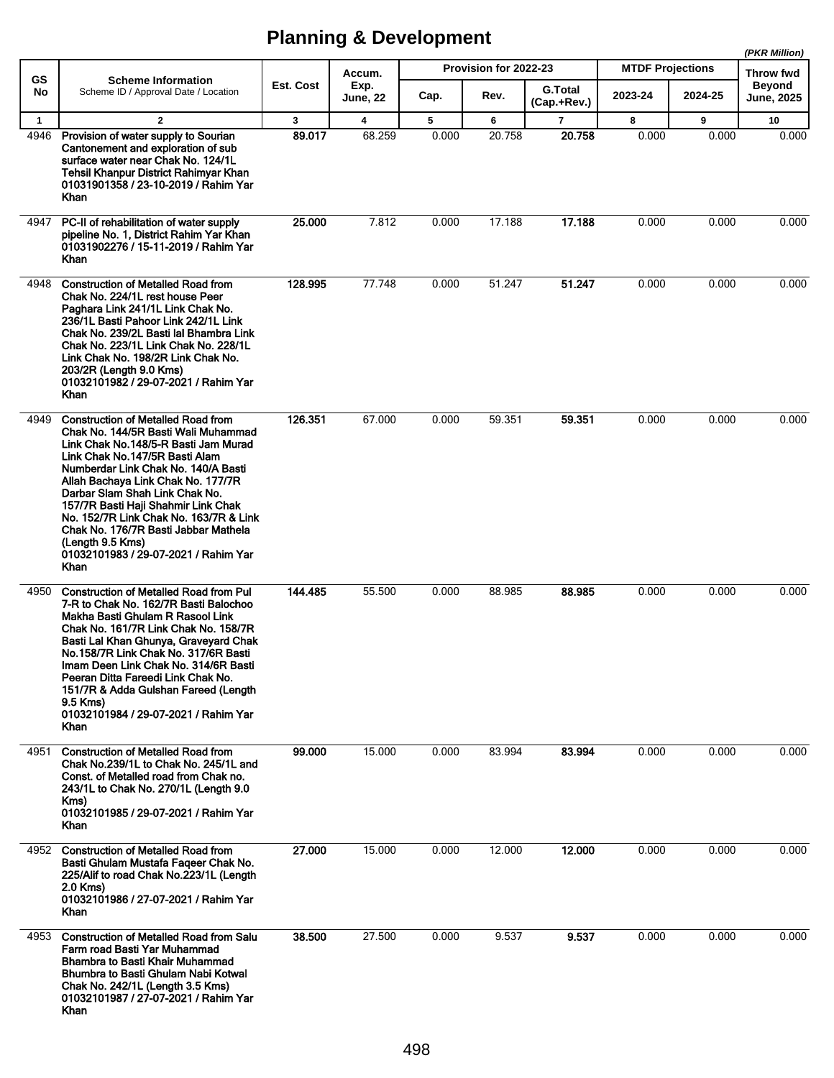|              |                                                                                                                                                                                                                                                                                                                                                                                                                                                                               |                                    |                 |       |                       |                               |                         |           | (PKR Million)                      |
|--------------|-------------------------------------------------------------------------------------------------------------------------------------------------------------------------------------------------------------------------------------------------------------------------------------------------------------------------------------------------------------------------------------------------------------------------------------------------------------------------------|------------------------------------|-----------------|-------|-----------------------|-------------------------------|-------------------------|-----------|------------------------------------|
| GS           | <b>Scheme Information</b>                                                                                                                                                                                                                                                                                                                                                                                                                                                     | Accum.<br><b>Est. Cost</b><br>Exp. |                 |       | Provision for 2022-23 |                               | <b>MTDF Projections</b> | Throw fwd |                                    |
| No           | Scheme ID / Approval Date / Location                                                                                                                                                                                                                                                                                                                                                                                                                                          |                                    | <b>June, 22</b> | Cap.  | Rev.                  | <b>G.Total</b><br>(Cap.+Rev.) | 2023-24                 | 2024-25   | <b>Beyond</b><br><b>June, 2025</b> |
| $\mathbf{1}$ | $\overline{2}$                                                                                                                                                                                                                                                                                                                                                                                                                                                                | $\mathbf{3}$                       | 4               | 5     | 6                     | $\overline{7}$                | 8                       | 9         | 10                                 |
| 4946         | Provision of water supply to Sourian<br>Cantonement and exploration of sub<br>surface water near Chak No. 124/1L<br>Tehsil Khanpur District Rahimyar Khan<br>01031901358 / 23-10-2019 / Rahim Yar<br>Khan                                                                                                                                                                                                                                                                     | 89.017                             | 68.259          | 0.000 | 20.758                | 20.758                        | 0.000                   | 0.000     | 0.000                              |
| 4947         | PC-II of rehabilitation of water supply<br>pipeline No. 1, District Rahim Yar Khan<br>01031902276 / 15-11-2019 / Rahim Yar<br>Khan                                                                                                                                                                                                                                                                                                                                            | 25.000                             | 7.812           | 0.000 | 17.188                | 17.188                        | 0.000                   | 0.000     | 0.000                              |
| 4948         | <b>Construction of Metalled Road from</b><br>Chak No. 224/1L rest house Peer<br>Paghara Link 241/1L Link Chak No.<br>236/1L Basti Pahoor Link 242/1L Link<br>Chak No. 239/2L Basti lal Bhambra Link<br>Chak No. 223/1L Link Chak No. 228/1L<br>Link Chak No. 198/2R Link Chak No.<br>203/2R (Length 9.0 Kms)<br>01032101982 / 29-07-2021 / Rahim Yar<br>Khan                                                                                                                  | 128.995                            | 77.748          | 0.000 | 51.247                | 51.247                        | 0.000                   | 0.000     | 0.000                              |
| 4949         | <b>Construction of Metalled Road from</b><br>Chak No. 144/5R Basti Wali Muhammad<br>Link Chak No.148/5-R Basti Jam Murad<br>Link Chak No.147/5R Basti Alam<br>Numberdar Link Chak No. 140/A Basti<br>Allah Bachaya Link Chak No. 177/7R<br>Darbar Slam Shah Link Chak No.<br>157/7R Basti Haji Shahmir Link Chak<br>No. 152/7R Link Chak No. 163/7R & Link<br>Chak No. 176/7R Basti Jabbar Mathela<br>(Length 9.5 Kms)<br>01032101983 / 29-07-2021 / Rahim Yar<br><b>Khan</b> | 126.351                            | 67.000          | 0.000 | 59.351                | 59.351                        | 0.000                   | 0.000     | 0.000                              |
| 4950         | <b>Construction of Metalled Road from Pul</b><br>7-R to Chak No. 162/7R Basti Balochoo<br>Makha Basti Ghulam R Rasool Link<br>Chak No. 161/7R Link Chak No. 158/7R<br>Basti Lal Khan Ghunya, Graveyard Chak<br>No.158/7R Link Chak No. 317/6R Basti<br>Imam Deen Link Chak No. 314/6R Basti<br>Peeran Ditta Fareedi Link Chak No.<br>151/7R & Adda Gulshan Fareed (Length<br>9.5 Kms)<br>01032101984 / 29-07-2021 / Rahim Yar<br>Khan                                         | 144.485                            | 55.500          | 0.000 | 88.985                | 88.985                        | 0.000                   | 0.000     | 0.000                              |
| 4951         | <b>Construction of Metalled Road from</b><br>Chak No.239/1L to Chak No. 245/1L and<br>Const. of Metalled road from Chak no.<br>243/1L to Chak No. 270/1L (Length 9.0<br>Kms)<br>01032101985 / 29-07-2021 / Rahim Yar<br>Khan                                                                                                                                                                                                                                                  | 99,000                             | 15.000          | 0.000 | 83.994                | 83.994                        | 0.000                   | 0.000     | 0.000                              |
| 4952         | <b>Construction of Metalled Road from</b><br>Basti Ghulam Mustafa Faqeer Chak No.<br>225/Alif to road Chak No.223/1L (Length<br>2.0 Kms)<br>01032101986 / 27-07-2021 / Rahim Yar<br><b>Khan</b>                                                                                                                                                                                                                                                                               | 27.000                             | 15.000          | 0.000 | 12.000                | 12.000                        | 0.000                   | 0.000     | 0.000                              |
| 4953         | <b>Construction of Metalled Road from Salu</b><br>Farm road Basti Yar Muhammad<br>Bhambra to Basti Khair Muhammad<br>Bhumbra to Basti Ghulam Nabi Kotwal<br>Chak No. 242/1L (Length 3.5 Kms)<br>01032101987 / 27-07-2021 / Rahim Yar<br>Khan                                                                                                                                                                                                                                  | 38.500                             | 27.500          | 0.000 | 9.537                 | 9.537                         | 0.000                   | 0.000     | 0.000                              |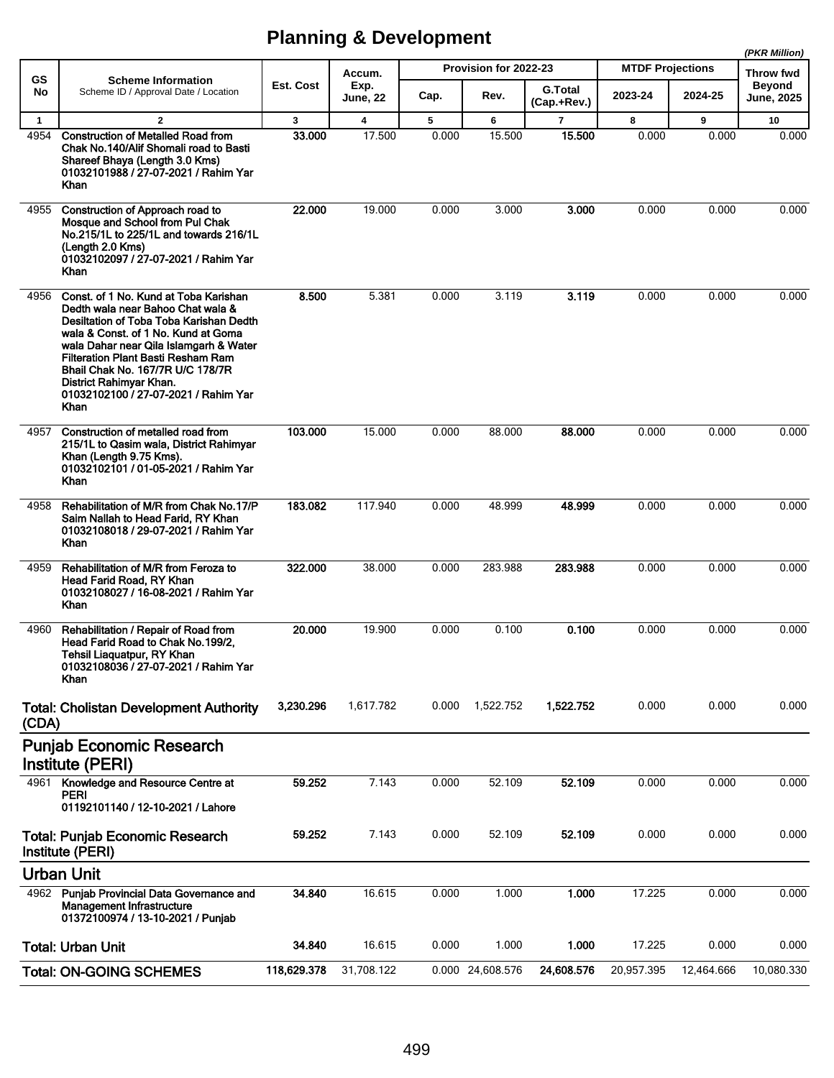|              |                                                                                                                                                                                                                                                                                                                                                                    |             |                         |       |                       |                               |                         |            | (PKR Million)                     |
|--------------|--------------------------------------------------------------------------------------------------------------------------------------------------------------------------------------------------------------------------------------------------------------------------------------------------------------------------------------------------------------------|-------------|-------------------------|-------|-----------------------|-------------------------------|-------------------------|------------|-----------------------------------|
| <b>GS</b>    | <b>Scheme Information</b>                                                                                                                                                                                                                                                                                                                                          | Est. Cost   | Accum.<br>Exp.          |       | Provision for 2022-23 |                               | <b>MTDF Projections</b> |            | <b>Throw fwd</b><br><b>Beyond</b> |
| No           | Scheme ID / Approval Date / Location                                                                                                                                                                                                                                                                                                                               |             | <b>June, 22</b>         | Cap.  | Rev.                  | <b>G.Total</b><br>(Cap.+Rev.) | 2023-24                 | 2024-25    | <b>June, 2025</b>                 |
| $\mathbf{1}$ | $\overline{2}$                                                                                                                                                                                                                                                                                                                                                     | 3           | $\overline{\mathbf{4}}$ | 5     | 6                     | $\overline{7}$                | 8                       | 9          | 10                                |
| 4954         | <b>Construction of Metalled Road from</b><br>Chak No.140/Alif Shomali road to Basti<br>Shareef Bhaya (Length 3.0 Kms)<br>01032101988 / 27-07-2021 / Rahim Yar<br><b>Khan</b>                                                                                                                                                                                       | 33,000      | 17.500                  | 0.000 | 15.500                | 15.500                        | 0.000                   | 0.000      | 0.000                             |
| 4955         | Construction of Approach road to<br>Mosque and School from Pul Chak<br>No.215/1L to 225/1L and towards 216/1L<br>(Length 2.0 Kms)<br>01032102097 / 27-07-2021 / Rahim Yar<br>Khan                                                                                                                                                                                  | 22.000      | 19.000                  | 0.000 | 3.000                 | 3.000                         | 0.000                   | 0.000      | 0.000                             |
| 4956         | Const. of 1 No. Kund at Toba Karishan<br>Dedth wala near Bahoo Chat wala &<br>Desiltation of Toba Toba Karishan Dedth<br>wala & Const. of 1 No. Kund at Goma<br>wala Dahar near Qila Islamgarh & Water<br><b>Filteration Plant Basti Resham Ram</b><br>Bhail Chak No. 167/7R U/C 178/7R<br>District Rahimyar Khan.<br>01032102100 / 27-07-2021 / Rahim Yar<br>Khan | 8.500       | 5.381                   | 0.000 | 3.119                 | 3.119                         | 0.000                   | 0.000      | 0.000                             |
| 4957         | Construction of metalled road from<br>215/1L to Qasim wala, District Rahimyar<br>Khan (Length 9.75 Kms).<br>01032102101 / 01-05-2021 / Rahim Yar<br>Khan                                                                                                                                                                                                           | 103.000     | 15.000                  | 0.000 | 88.000                | 88,000                        | 0.000                   | 0.000      | 0.000                             |
| 4958         | Rehabilitation of M/R from Chak No.17/P<br>Saim Nallah to Head Farid, RY Khan<br>01032108018 / 29-07-2021 / Rahim Yar<br>Khan                                                                                                                                                                                                                                      | 183.082     | 117.940                 | 0.000 | 48.999                | 48.999                        | 0.000                   | 0.000      | 0.000                             |
| 4959         | Rehabilitation of M/R from Feroza to<br>Head Farid Road, RY Khan<br>01032108027 / 16-08-2021 / Rahim Yar<br>Khan                                                                                                                                                                                                                                                   | 322.000     | 38.000                  | 0.000 | 283.988               | 283.988                       | 0.000                   | 0.000      | 0.000                             |
| 4960         | Rehabilitation / Repair of Road from<br>Head Farid Road to Chak No. 199/2,<br>Tehsil Liaquatpur, RY Khan<br>01032108036 / 27-07-2021 / Rahim Yar<br>Khan                                                                                                                                                                                                           | 20,000      | 19.900                  | 0.000 | 0.100                 | 0.100                         | 0.000                   | 0.000      | 0.000                             |
| (CDA)        | <b>Total: Cholistan Development Authority</b>                                                                                                                                                                                                                                                                                                                      | 3,230.296   | 1,617.782               | 0.000 | 1,522.752             | 1,522.752                     | 0.000                   | 0.000      | 0.000                             |
|              | <b>Punjab Economic Research</b><br>Institute (PERI)                                                                                                                                                                                                                                                                                                                |             |                         |       |                       |                               |                         |            |                                   |
| 4961         | Knowledge and Resource Centre at<br><b>PERI</b><br>01192101140 / 12-10-2021 / Lahore                                                                                                                                                                                                                                                                               | 59.252      | 7.143                   | 0.000 | 52.109                | 52.109                        | 0.000                   | 0.000      | 0.000                             |
|              | <b>Total: Punjab Economic Research</b><br>Institute (PERI)                                                                                                                                                                                                                                                                                                         | 59.252      | 7.143                   | 0.000 | 52.109                | 52.109                        | 0.000                   | 0.000      | 0.000                             |
|              | <b>Urban Unit</b>                                                                                                                                                                                                                                                                                                                                                  |             |                         |       |                       |                               |                         |            |                                   |
|              | 4962 Punjab Provincial Data Governance and<br><b>Management Infrastructure</b><br>01372100974 / 13-10-2021 / Punjab                                                                                                                                                                                                                                                | 34.840      | 16.615                  | 0.000 | 1.000                 | 1.000                         | 17.225                  | 0.000      | 0.000                             |
|              | <b>Total: Urban Unit</b>                                                                                                                                                                                                                                                                                                                                           | 34.840      | 16.615                  | 0.000 | 1.000                 | 1.000                         | 17.225                  | 0.000      | 0.000                             |
|              | <b>Total: ON-GOING SCHEMES</b>                                                                                                                                                                                                                                                                                                                                     | 118,629.378 | 31,708.122              |       | 0.000 24,608.576      | 24,608.576                    | 20,957.395              | 12,464.666 | 10,080.330                        |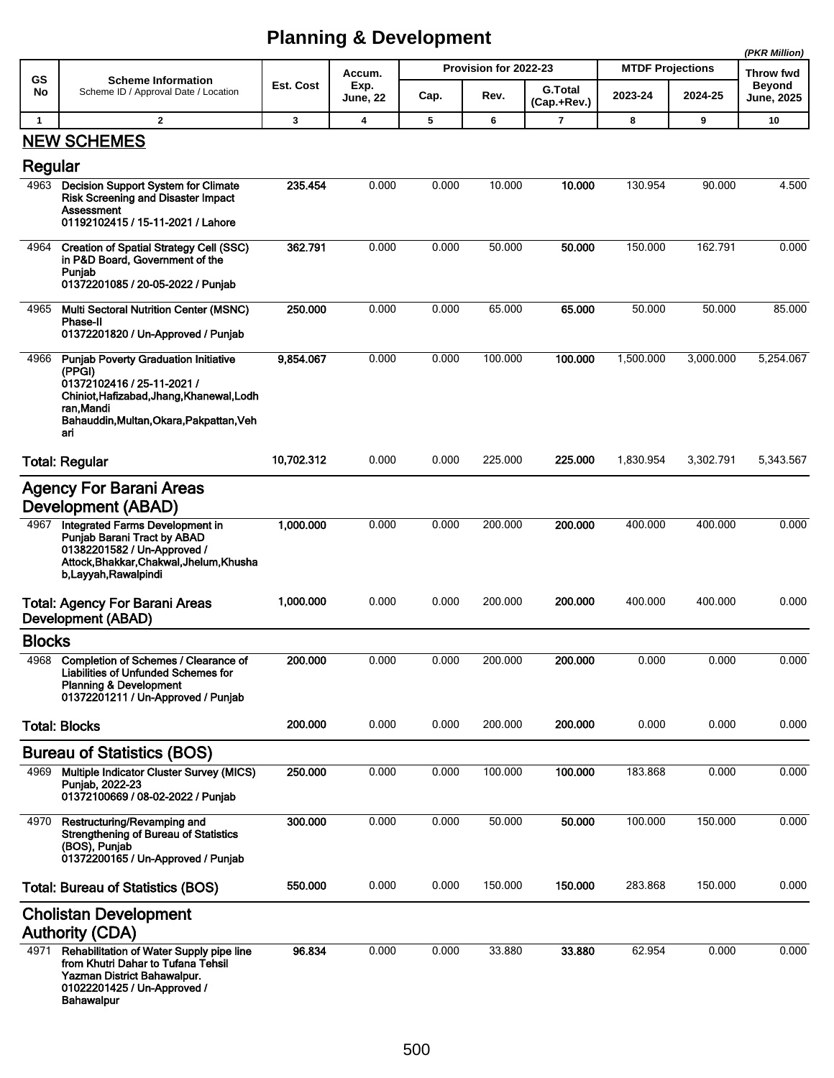| GS            | <b>Scheme Information</b>                                                                                                                                                                        | Est. Cost  | Accum.<br>Exp. |       | Provision for 2022-23 | <b>G.Total</b> | <b>MTDF Projections</b> |           | Throw fwd<br><b>Beyond</b> |
|---------------|--------------------------------------------------------------------------------------------------------------------------------------------------------------------------------------------------|------------|----------------|-------|-----------------------|----------------|-------------------------|-----------|----------------------------|
| No            | Scheme ID / Approval Date / Location                                                                                                                                                             |            | June, 22       | Cap.  | Rev.                  | (Cap.+Rev.)    | 2023-24                 | 2024-25   | June, 2025                 |
| $\mathbf{1}$  | $\overline{2}$                                                                                                                                                                                   | 3          | 4              | 5     | 6                     | 7              | 8                       | 9         | 10                         |
| Regular       | <b>NEW SCHEMES</b>                                                                                                                                                                               |            |                |       |                       |                |                         |           |                            |
| 4963          | <b>Decision Support System for Climate</b><br><b>Risk Screening and Disaster Impact</b><br>Assessment<br>01192102415 / 15-11-2021 / Lahore                                                       | 235.454    | 0.000          | 0.000 | 10.000                | 10.000         | 130.954                 | 90.000    | 4.500                      |
| 4964          | <b>Creation of Spatial Strategy Cell (SSC)</b><br>in P&D Board, Government of the<br>Puniab<br>01372201085 / 20-05-2022 / Punjab                                                                 | 362.791    | 0.000          | 0.000 | 50.000                | 50,000         | 150.000                 | 162.791   | 0.000                      |
| 4965          | <b>Multi Sectoral Nutrition Center (MSNC)</b><br><b>Phase-II</b><br>01372201820 / Un-Approved / Punjab                                                                                           | 250,000    | 0.000          | 0.000 | 65.000                | 65.000         | 50.000                  | 50.000    | 85.000                     |
| 4966          | <b>Punjab Poverty Graduation Initiative</b><br>(PPGI)<br>01372102416 / 25-11-2021 /<br>Chiniot, Hafizabad, Jhang, Khanewal, Lodh<br>ran.Mandi<br>Bahauddin, Multan, Okara, Pakpattan, Veh<br>ari | 9,854.067  | 0.000          | 0.000 | 100.000               | 100.000        | 1,500.000               | 3,000.000 | 5,254.067                  |
|               | <b>Total: Regular</b>                                                                                                                                                                            | 10,702.312 | 0.000          | 0.000 | 225.000               | 225,000        | 1,830.954               | 3,302.791 | 5,343.567                  |
|               | <b>Agency For Barani Areas</b><br>Development (ABAD)                                                                                                                                             |            |                |       |                       |                |                         |           |                            |
| 4967          | Integrated Farms Development in<br><b>Punjab Barani Tract by ABAD</b><br>01382201582 / Un-Approved /<br>Attock, Bhakkar, Chakwal, Jhelum, Khusha<br>b, Layyah, Rawalpindi                        | 1,000.000  | 0.000          | 0.000 | 200.000               | 200.000        | 400.000                 | 400.000   | 0.000                      |
|               | <b>Total: Agency For Barani Areas</b><br>Development (ABAD)                                                                                                                                      | 1,000.000  | 0.000          | 0.000 | 200.000               | 200.000        | 400.000                 | 400.000   | 0.000                      |
| <b>Blocks</b> |                                                                                                                                                                                                  |            |                |       |                       |                |                         |           |                            |
|               | 4968 Completion of Schemes / Clearance of<br><b>Liabilities of Unfunded Schemes for</b><br><b>Planning &amp; Development</b><br>01372201211 / Un-Approved / Punjab                               | 200.000    | 0.000          | 0.000 | 200.000               | 200.000        | 0.000                   | 0.000     | 0.000                      |
|               | <b>Total: Blocks</b>                                                                                                                                                                             | 200.000    | 0.000          | 0.000 | 200.000               | 200.000        | 0.000                   | 0.000     | 0.000                      |
|               | <b>Bureau of Statistics (BOS)</b>                                                                                                                                                                |            |                |       |                       |                |                         |           |                            |
| 4969          | Multiple Indicator Cluster Survey (MICS)<br>Puniab, 2022-23<br>01372100669 / 08-02-2022 / Punjab                                                                                                 | 250.000    | 0.000          | 0.000 | 100.000               | 100.000        | 183.868                 | 0.000     | 0.000                      |
| 4970          | Restructuring/Revamping and<br><b>Strengthening of Bureau of Statistics</b><br>(BOS), Punjab<br>01372200165 / Un-Approved / Punjab                                                               | 300.000    | 0.000          | 0.000 | 50.000                | 50.000         | 100.000                 | 150.000   | 0.000                      |
|               | <b>Total: Bureau of Statistics (BOS)</b>                                                                                                                                                         | 550.000    | 0.000          | 0.000 | 150.000               | 150.000        | 283.868                 | 150.000   | 0.000                      |
|               | <b>Cholistan Development</b><br><b>Authority (CDA)</b>                                                                                                                                           |            |                |       |                       |                |                         |           |                            |
| 4971          | Rehabilitation of Water Supply pipe line<br>from Khutri Dahar to Tufana Tehsil<br>Yazman District Bahawalpur.<br>01022201425 / Un-Approved /<br>Bahawalpur                                       | 96.834     | 0.000          | 0.000 | 33.880                | 33.880         | 62.954                  | 0.000     | 0.000                      |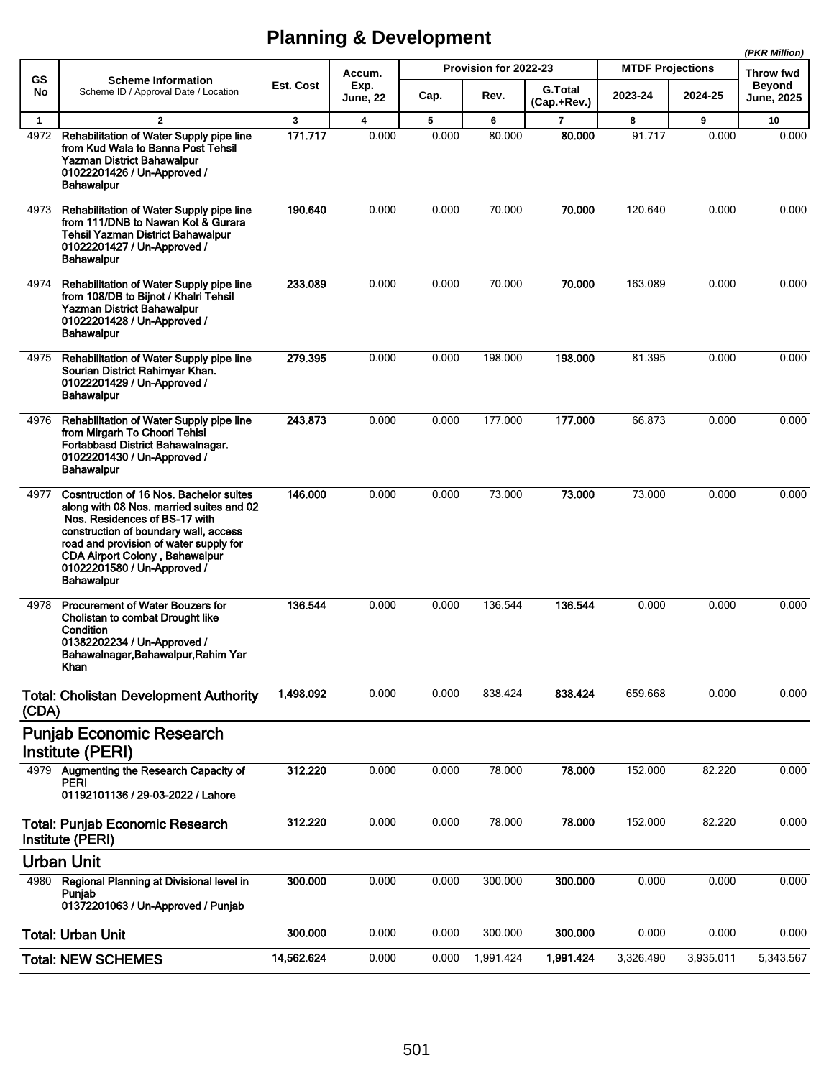|              |                                                                                                                                                                                                                                                                                                      |            |                         |       |                       |                        |                         |           | (PKR Million)              |
|--------------|------------------------------------------------------------------------------------------------------------------------------------------------------------------------------------------------------------------------------------------------------------------------------------------------------|------------|-------------------------|-------|-----------------------|------------------------|-------------------------|-----------|----------------------------|
| <b>GS</b>    | <b>Scheme Information</b>                                                                                                                                                                                                                                                                            | Est. Cost  | Accum.<br>Exp.          |       | Provision for 2022-23 |                        | <b>MTDF Projections</b> |           | Throw fwd<br><b>Beyond</b> |
| No           | Scheme ID / Approval Date / Location                                                                                                                                                                                                                                                                 |            | <b>June, 22</b>         | Cap.  | Rev.                  | G.Total<br>(Cap.+Rev.) | 2023-24                 | 2024-25   | June, 2025                 |
| $\mathbf{1}$ | $\overline{2}$                                                                                                                                                                                                                                                                                       | 3          | $\overline{\mathbf{4}}$ | 5     | 6                     | $\overline{7}$         | 8                       | 9         | 10                         |
| 4972         | Rehabilitation of Water Supply pipe line<br>from Kud Wala to Banna Post Tehsil<br>Yazman District Bahawalpur<br>01022201426 / Un-Approved /<br><b>Bahawalpur</b>                                                                                                                                     | 171.717    | 0.000                   | 0.000 | 80.000                | 80.000                 | 91.717                  | 0.000     | 0.000                      |
| 4973         | Rehabilitation of Water Supply pipe line<br>from 111/DNB to Nawan Kot & Gurara<br>Tehsil Yazman District Bahawalpur<br>01022201427 / Un-Approved /<br>Bahawalpur                                                                                                                                     | 190.640    | 0.000                   | 0.000 | 70.000                | 70.000                 | 120.640                 | 0.000     | 0.000                      |
| 4974         | Rehabilitation of Water Supply pipe line<br>from 108/DB to Bijnot / Khalri Tehsil<br>Yazman District Bahawalpur<br>01022201428 / Un-Approved /<br>Bahawalpur                                                                                                                                         | 233.089    | 0.000                   | 0.000 | 70.000                | 70.000                 | 163.089                 | 0.000     | 0.000                      |
| 4975         | Rehabilitation of Water Supply pipe line<br>Sourian District Rahimyar Khan.<br>01022201429 / Un-Approved /<br><b>Bahawalpur</b>                                                                                                                                                                      | 279.395    | 0.000                   | 0.000 | 198.000               | 198.000                | 81.395                  | 0.000     | 0.000                      |
| 4976         | Rehabilitation of Water Supply pipe line<br>from Mirgarh To Choori Tehisl<br>Fortabbasd District Bahawalnagar.<br>01022201430 / Un-Approved /<br><b>Bahawalpur</b>                                                                                                                                   | 243.873    | 0.000                   | 0.000 | 177.000               | 177.000                | 66.873                  | 0.000     | 0.000                      |
| 4977         | Cosntruction of 16 Nos. Bachelor suites<br>along with 08 Nos. married suites and 02<br>Nos. Residences of BS-17 with<br>construction of boundary wall, access<br>road and provision of water supply for<br><b>CDA Airport Colony, Bahawalpur</b><br>01022201580 / Un-Approved /<br><b>Bahawalpur</b> | 146.000    | 0.000                   | 0.000 | 73.000                | 73.000                 | 73.000                  | 0.000     | 0.000                      |
| 4978         | Procurement of Water Bouzers for<br>Cholistan to combat Drought like<br>Condition<br>01382202234 / Un-Approved /<br>Bahawalnagar, Bahawalpur, Rahim Yar<br>Khan                                                                                                                                      | 136.544    | 0.000                   | 0.000 | 136.544               | 136.544                | 0.000                   | 0.000     | 0.000                      |
| (CDA)        | <b>Total: Cholistan Development Authority</b>                                                                                                                                                                                                                                                        | 1,498.092  | 0.000                   | 0.000 | 838.424               | 838.424                | 659.668                 | 0.000     | 0.000                      |
|              | <b>Punjab Economic Research</b><br>Institute (PERI)                                                                                                                                                                                                                                                  |            |                         |       |                       |                        |                         |           |                            |
| 4979         | Augmenting the Research Capacity of                                                                                                                                                                                                                                                                  | 312.220    | 0.000                   | 0.000 | 78.000                | 78.000                 | 152.000                 | 82.220    | 0.000                      |
|              | <b>PERI</b><br>01192101136 / 29-03-2022 / Lahore                                                                                                                                                                                                                                                     |            |                         |       |                       |                        |                         |           |                            |
|              | <b>Total: Punjab Economic Research</b><br>Institute (PERI)                                                                                                                                                                                                                                           | 312.220    | 0.000                   | 0.000 | 78.000                | 78.000                 | 152.000                 | 82.220    | 0.000                      |
|              | <b>Urban Unit</b>                                                                                                                                                                                                                                                                                    |            |                         |       |                       |                        |                         |           |                            |
| 4980         | Regional Planning at Divisional level in<br>Punjab<br>01372201063 / Un-Approved / Punjab                                                                                                                                                                                                             | 300.000    | 0.000                   | 0.000 | 300.000               | 300.000                | 0.000                   | 0.000     | 0.000                      |
|              | <b>Total: Urban Unit</b>                                                                                                                                                                                                                                                                             | 300.000    | 0.000                   | 0.000 | 300.000               | 300.000                | 0.000                   | 0.000     | 0.000                      |
|              | <b>Total: NEW SCHEMES</b>                                                                                                                                                                                                                                                                            | 14,562.624 | 0.000                   | 0.000 | 1,991.424             | 1,991.424              | 3,326.490               | 3,935.011 | 5,343.567                  |